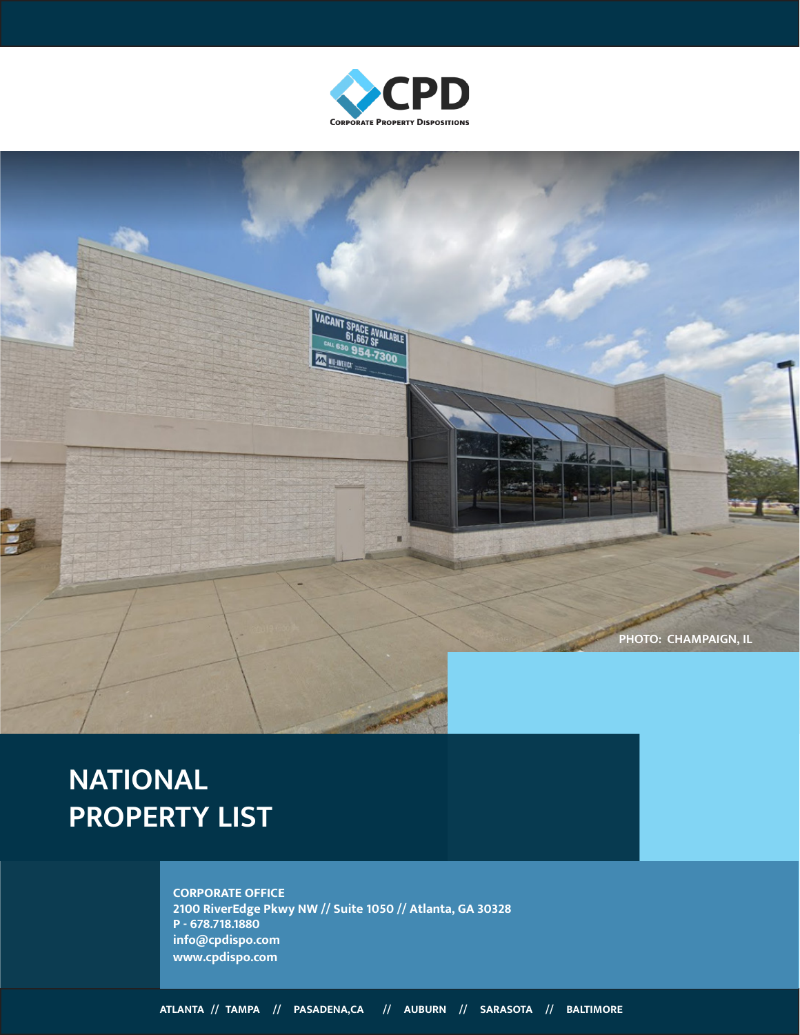



# **NATIONAL PROPERTY LIST**

**CORPORATE OFFICE 2100 RiverEdge Pkwy NW // Suite 1050 // Atlanta, GA 30328 P - 678.718.1880 info@cpdispo.com www.cpdispo.com**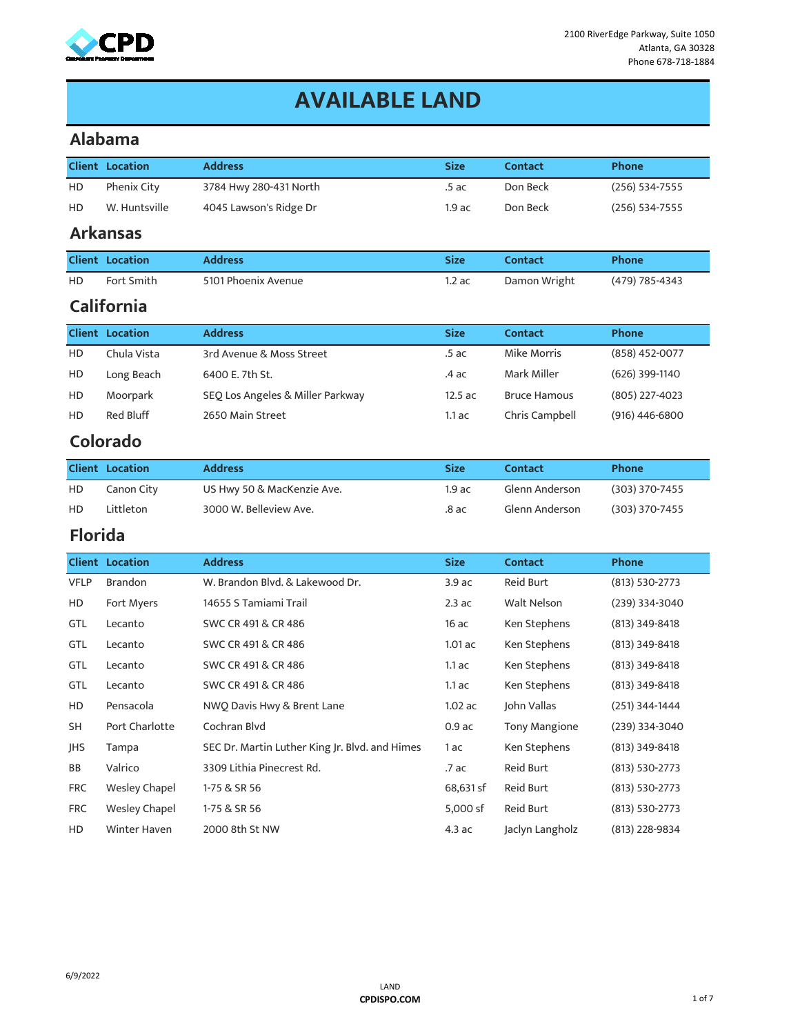

### **AVAILABLE LAND**

#### **Alabama**

|                | <b>Client Location</b> | <b>Address</b>                                  | <b>Size</b>       | <b>Contact</b>       | Phone          |
|----------------|------------------------|-------------------------------------------------|-------------------|----------------------|----------------|
| HD             | <b>Phenix City</b>     | 3784 Hwy 280-431 North                          | .5ac              | Don Beck             | (256) 534-7555 |
| HD             | W. Huntsville          | 4045 Lawson's Ridge Dr                          | 1.9ac<br>Don Beck |                      | (256) 534-7555 |
|                | <b>Arkansas</b>        |                                                 |                   |                      |                |
|                | <b>Client Location</b> | <b>Address</b>                                  | <b>Size</b>       | <b>Contact</b>       | Phone          |
| HD             | Fort Smith             | 5101 Phoenix Avenue                             | 1.2ac             | Damon Wright         | (479) 785-4343 |
|                | California             |                                                 |                   |                      |                |
|                | <b>Client Location</b> | <b>Address</b><br><b>Size</b><br><b>Contact</b> |                   |                      | Phone          |
| HD             | Chula Vista            | 3rd Avenue & Moss Street                        | .5ac              | <b>Mike Morris</b>   | (858) 452-0077 |
| HD             | Long Beach             | 6400 E. 7th St.                                 | $.4$ ac           | Mark Miller          | (626) 399-1140 |
| HD             | Moorpark               | SEQ Los Angeles & Miller Parkway                | 12.5 ac           | <b>Bruce Hamous</b>  | (805) 227-4023 |
| HD             | Red Bluff              | 2650 Main Street                                | $1.1$ ac          | Chris Campbell       | (916) 446-6800 |
|                | Colorado               |                                                 |                   |                      |                |
|                | <b>Client Location</b> | <b>Address</b>                                  | <b>Size</b>       | <b>Contact</b>       | Phone          |
| HD             | Canon City             | US Hwy 50 & MacKenzie Ave.                      | 1.9ac             | Glenn Anderson       | (303) 370-7455 |
| HD             | Littleton              | 3000 W. Belleview Ave.                          | $.8$ ac           | Glenn Anderson       | (303) 370-7455 |
| <b>Florida</b> |                        |                                                 |                   |                      |                |
|                | <b>Client Location</b> | <b>Address</b>                                  | <b>Size</b>       | <b>Contact</b>       | Phone          |
| <b>VFLP</b>    | <b>Brandon</b>         | W. Brandon Blvd. & Lakewood Dr.                 | 3.9 ac            | <b>Reid Burt</b>     | (813) 530-2773 |
| HD             | Fort Myers             | 14655 S Tamiami Trail                           | 2.3ac             | Walt Nelson          | (239) 334-3040 |
| GTL            | Lecanto                | SWC CR 491 & CR 486                             | 16ac              | Ken Stephens         | (813) 349-8418 |
| GTL            | Lecanto                | SWC CR 491 & CR 486                             | $1.01$ ac         | Ken Stephens         | (813) 349-8418 |
| GTL            | Lecanto                | SWC CR 491 & CR 486                             | $1.1$ ac          | Ken Stephens         | (813) 349-8418 |
| GTL            | Lecanto                | SWC CR 491 & CR 486                             | $1.1$ ac          | Ken Stephens         | (813) 349-8418 |
| HD             | Pensacola              | NWQ Davis Hwy & Brent Lane                      | $1.02$ ac         | John Vallas          | (251) 344-1444 |
| SH             | Port Charlotte         | Cochran Blvd                                    | $0.9$ ac          | <b>Tony Mangione</b> | (239) 334-3040 |
| JHS            | Tampa                  | SEC Dr. Martin Luther King Jr. Blvd. and Himes  | 1 ac              | Ken Stephens         | (813) 349-8418 |
| ВB             | Valrico                | 3309 Lithia Pinecrest Rd.                       | .7 ac             | <b>Reid Burt</b>     | (813) 530-2773 |
| <b>FRC</b>     | <b>Wesley Chapel</b>   | 1-75 & SR 56                                    | 68,631 sf         | <b>Reid Burt</b>     | (813) 530-2773 |
| <b>FRC</b>     | <b>Wesley Chapel</b>   | 1-75 & SR 56                                    | 5,000 sf          | <b>Reid Burt</b>     | (813) 530-2773 |
| HD             | <b>Winter Haven</b>    | 2000 8th St NW                                  | 4.3 ac            | Jaclyn Langholz      | (813) 228-9834 |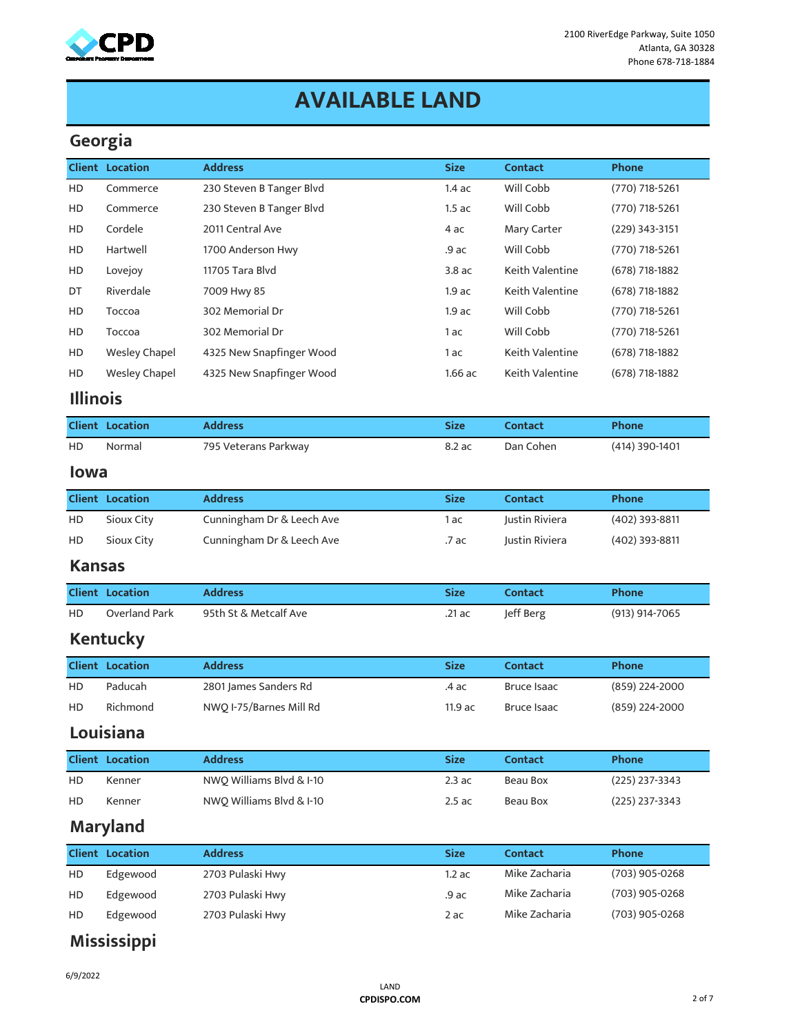

### **AVAILABLE LAND**

#### **Georgia**

|                 | 999.99                 |                           |             |                    |                  |
|-----------------|------------------------|---------------------------|-------------|--------------------|------------------|
|                 | <b>Client Location</b> | <b>Address</b>            | <b>Size</b> | <b>Contact</b>     | Phone            |
| HD              | Commerce               | 230 Steven B Tanger Blvd  | 1.4ac       | Will Cobb          | (770) 718-5261   |
| HD              | Commerce               | 230 Steven B Tanger Blvd  | 1.5ac       | Will Cobb          | (770) 718-5261   |
| HD              | Cordele                | 2011 Central Ave          | 4 ac        | Mary Carter        | (229) 343-3151   |
| HD              | Hartwell               | 1700 Anderson Hwy         | .9 ac       | Will Cobb          | (770) 718-5261   |
| HD              | Lovejoy                | 11705 Tara Blvd           | 3.8 ac      | Keith Valentine    | (678) 718-1882   |
| DT              | Riverdale              | 7009 Hwy 85               | 1.9ac       | Keith Valentine    | (678) 718-1882   |
| HD              | Toccoa                 | 302 Memorial Dr           | 1.9ac       | Will Cobb          | (770) 718-5261   |
| HD              | Toccoa                 | 302 Memorial Dr           | 1 ac        | Will Cobb          | (770) 718-5261   |
| HD              | <b>Wesley Chapel</b>   | 4325 New Snapfinger Wood  | 1 ac        | Keith Valentine    | (678) 718-1882   |
| HD              | <b>Wesley Chapel</b>   | 4325 New Snapfinger Wood  | $1.66$ ac   | Keith Valentine    | (678) 718-1882   |
| <b>Illinois</b> |                        |                           |             |                    |                  |
|                 | <b>Client Location</b> | <b>Address</b>            | <b>Size</b> | <b>Contact</b>     | Phone            |
| HD              | Normal                 | 795 Veterans Parkway      | 8.2 ac      | Dan Cohen          | (414) 390-1401   |
| <b>lowa</b>     |                        |                           |             |                    |                  |
|                 | <b>Client Location</b> | <b>Address</b>            | <b>Size</b> | <b>Contact</b>     | Phone            |
| HD              | Sioux City             | Cunningham Dr & Leech Ave | 1 ac        | Justin Riviera     | (402) 393-8811   |
| HD              | Sioux City             | Cunningham Dr & Leech Ave | .7 ac       | Justin Riviera     | (402) 393-8811   |
| <b>Kansas</b>   |                        |                           |             |                    |                  |
|                 | <b>Client Location</b> | <b>Address</b>            | <b>Size</b> | <b>Contact</b>     | Phone            |
| HD.             | Overland Park          | 95th St & Metcalf Ave     | .21 ac      | Jeff Berg          | (913) 914-7065   |
|                 | Kentucky               |                           |             |                    |                  |
|                 | <b>Client Location</b> | <b>Address</b>            | <b>Size</b> | <b>Contact</b>     | Phone            |
| HD              | Paducah                | 2801 James Sanders Rd     | .4 ac       | <b>Bruce Isaac</b> | (859) 224-2000   |
| HD              | Richmond               | NWQ I-75/Barnes Mill Rd   | 11.9 ac     | <b>Bruce Isaac</b> | (859) 224-2000   |
|                 | Louisiana              |                           |             |                    |                  |
|                 | <b>Client Location</b> | <b>Address</b>            | <b>Size</b> | <b>Contact</b>     | Phone            |
| HD              | Kenner                 | NWQ Williams Blvd & I-10  | 2.3ac       | <b>Beau Box</b>    | (225) 237-3343   |
| HD              | Kenner                 | NWO Williams Blvd & I-10  | 2.5ac       | Beau Box           | $(225)$ 237-3343 |
|                 | <b>Maryland</b>        |                           |             |                    |                  |
|                 | <b>Client Location</b> | <b>Address</b>            | <b>Size</b> | <b>Contact</b>     | <b>Phone</b>     |
| HD              | Edgewood               | 2703 Pulaski Hwy          | 1.2ac       | Mike Zacharia      | (703) 905-0268   |
| HD              | Edgewood               | 2703 Pulaski Hwy          | .9 ac       | Mike Zacharia      | (703) 905-0268   |

### **Mississippi**

HD Edgewood 2703 Pulaski Hwy 2 ac Mike Zacharia (703) 905-0268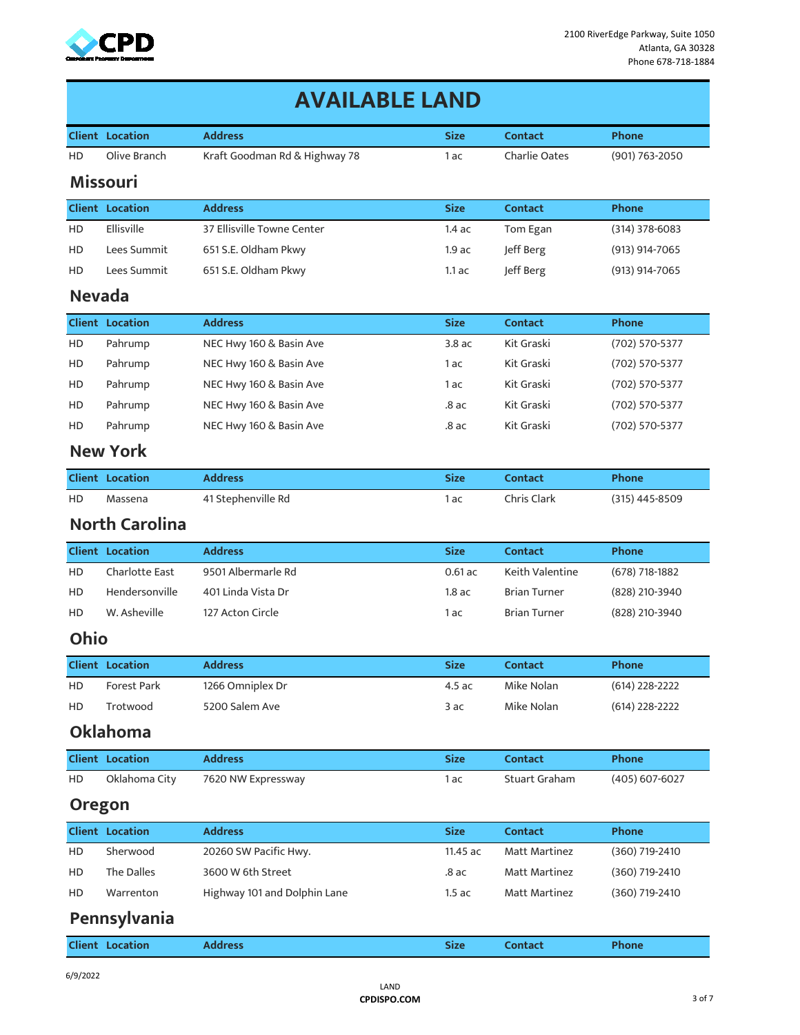

|               | <b>AVAILABLE LAND</b>  |                               |             |                      |                  |  |  |  |  |
|---------------|------------------------|-------------------------------|-------------|----------------------|------------------|--|--|--|--|
|               | <b>Client Location</b> | <b>Address</b>                | <b>Size</b> | <b>Contact</b>       | <b>Phone</b>     |  |  |  |  |
| HD            | Olive Branch           | Kraft Goodman Rd & Highway 78 | 1 ac        | <b>Charlie Oates</b> | (901) 763-2050   |  |  |  |  |
|               | <b>Missouri</b>        |                               |             |                      |                  |  |  |  |  |
|               | <b>Client Location</b> | <b>Address</b>                | <b>Size</b> | <b>Contact</b>       | Phone            |  |  |  |  |
| HD            | Ellisville             | 37 Ellisville Towne Center    | 1.4ac       | Tom Egan             | $(314)$ 378-6083 |  |  |  |  |
| HD            | Lees Summit            | 651 S.E. Oldham Pkwy          | $1.9$ ac    | Jeff Berg            | (913) 914-7065   |  |  |  |  |
| HD            | Lees Summit            | 651 S.E. Oldham Pkwy          | $1.1$ ac    | Jeff Berg            | (913) 914-7065   |  |  |  |  |
| <b>Nevada</b> |                        |                               |             |                      |                  |  |  |  |  |
|               | <b>Client Location</b> | <b>Size</b><br><b>Address</b> |             | <b>Contact</b>       | Phone            |  |  |  |  |
| HD            | Pahrump                | NEC Hwy 160 & Basin Ave       | 3.8ac       | Kit Graski           | (702) 570-5377   |  |  |  |  |
| HD            | Pahrump                | NEC Hwy 160 & Basin Ave       | 1 ac        | Kit Graski           | (702) 570-5377   |  |  |  |  |
| HD            | Pahrump                | NEC Hwy 160 & Basin Ave       | 1 ac        | Kit Graski           | (702) 570-5377   |  |  |  |  |
| HD            | Pahrump                | NEC Hwy 160 & Basin Ave       | $.8$ ac     | Kit Graski           | (702) 570-5377   |  |  |  |  |
| HD            | Pahrump                | NEC Hwy 160 & Basin Ave       | $.8$ ac     | Kit Graski           | (702) 570-5377   |  |  |  |  |
|               | <b>New York</b>        |                               |             |                      |                  |  |  |  |  |
|               | <b>Client Location</b> | <b>Address</b>                | <b>Size</b> | <b>Contact</b>       | <b>Phone</b>     |  |  |  |  |
| HD            | Massena                | 41 Stephenville Rd            | 1 ac        | Chris Clark          | (315) 445-8509   |  |  |  |  |
|               | <b>North Carolina</b>  |                               |             |                      |                  |  |  |  |  |
|               | <b>Client Location</b> | <b>Address</b>                | <b>Size</b> | <b>Contact</b>       | Phone            |  |  |  |  |
| HD            | <b>Charlotte East</b>  | 9501 Albermarle Rd            | $0.61$ ac   | Keith Valentine      | (678) 718-1882   |  |  |  |  |
| HD            | Hendersonville         | 401 Linda Vista Dr            | $1.8$ ac    | <b>Brian Turner</b>  | (828) 210-3940   |  |  |  |  |
| HD            | W. Asheville           | 127 Acton Circle              | 1 ac        | <b>Brian Turner</b>  | (828) 210-3940   |  |  |  |  |
| Ohio          |                        |                               |             |                      |                  |  |  |  |  |
|               | <b>Client Location</b> | <b>Address</b>                | <b>Size</b> | <b>Contact</b>       | Phone            |  |  |  |  |
| HD            | Forest Park            | 1266 Omniplex Dr              | 4.5 ac      | Mike Nolan           | (614) 228-2222   |  |  |  |  |
| HD            | Trotwood               | 5200 Salem Ave                | 3ac         | Mike Nolan           | $(614)$ 228-2222 |  |  |  |  |
|               | <b>Oklahoma</b>        |                               |             |                      |                  |  |  |  |  |
|               | <b>Client Location</b> | <b>Address</b>                | <b>Size</b> | <b>Contact</b>       | <b>Phone</b>     |  |  |  |  |
| HD            | Oklahoma City          | 7620 NW Expressway            | 1 ac        | <b>Stuart Graham</b> | (405) 607-6027   |  |  |  |  |
| <b>Oregon</b> |                        |                               |             |                      |                  |  |  |  |  |
|               | <b>Client Location</b> | <b>Address</b>                | <b>Size</b> | <b>Contact</b>       | Phone            |  |  |  |  |
| HD            | Sherwood               | 20260 SW Pacific Hwy.         | 11.45 ac    | <b>Matt Martinez</b> | (360) 719-2410   |  |  |  |  |
| HD            | The Dalles             | 3600 W 6th Street             | $.8$ ac     | Matt Martinez        | (360) 719-2410   |  |  |  |  |
| HD            | Warrenton              | Highway 101 and Dolphin Lane  | 1.5ac       | <b>Matt Martinez</b> | (360) 719-2410   |  |  |  |  |
|               | Pennsylvania           |                               |             |                      |                  |  |  |  |  |
|               | <b>Client Location</b> | <b>Address</b>                | <b>Size</b> | <b>Contact</b>       | Phone            |  |  |  |  |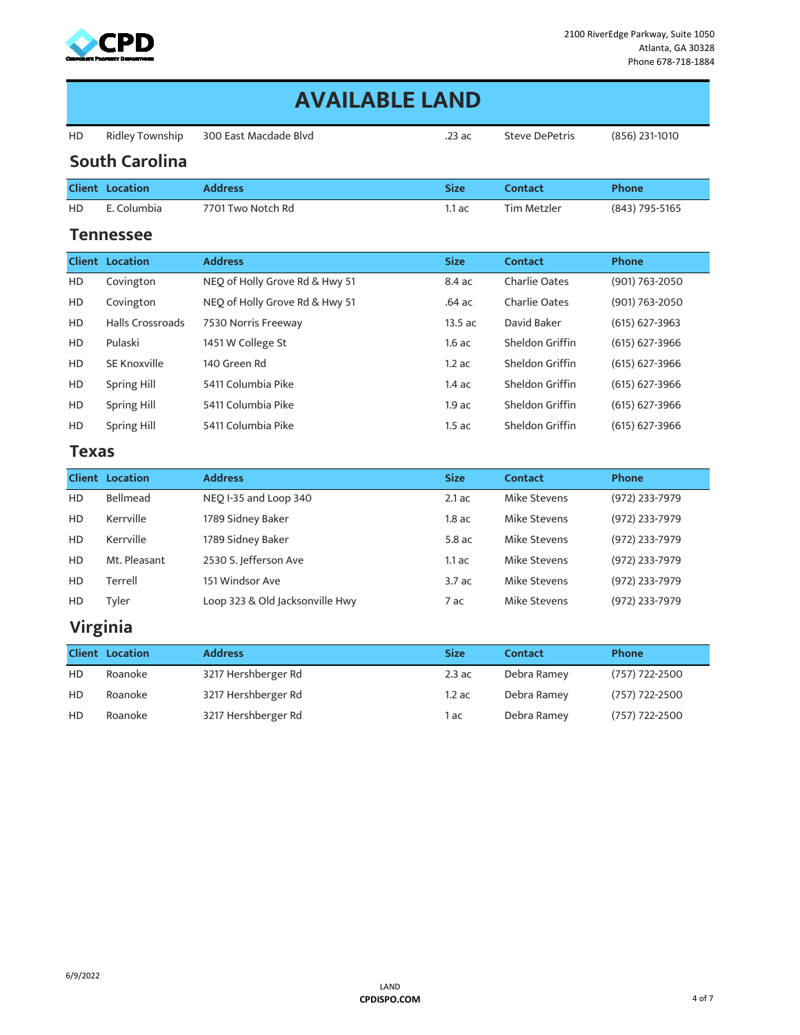

|           | <b>AVAILABLE LAND</b>   |                                |             |                       |                    |  |  |  |  |
|-----------|-------------------------|--------------------------------|-------------|-----------------------|--------------------|--|--|--|--|
| HD        | Ridley Township         | 300 East Macdade Blvd          | .23 ac      | <b>Steve DePetris</b> | (856) 231-1010     |  |  |  |  |
|           | <b>South Carolina</b>   |                                |             |                       |                    |  |  |  |  |
|           | <b>Client Location</b>  | <b>Address</b>                 | <b>Size</b> | <b>Contact</b>        | Phone              |  |  |  |  |
| HD        | E. Columbia             | 7701 Two Notch Rd              | 1.1ac       | <b>Tim Metzler</b>    | (843) 795-5165     |  |  |  |  |
|           | Tennessee               |                                |             |                       |                    |  |  |  |  |
|           | <b>Client Location</b>  | <b>Address</b>                 | <b>Size</b> | <b>Contact</b>        | Phone              |  |  |  |  |
| HD        | Covington               | NEQ of Holly Grove Rd & Hwy 51 | 8.4 ac      | <b>Charlie Oates</b>  | (901) 763-2050     |  |  |  |  |
| HD        | Covington               | NEO of Holly Grove Rd & Hwy 51 | .64ac       | <b>Charlie Oates</b>  | (901) 763-2050     |  |  |  |  |
| HD        | <b>Halls Crossroads</b> | 7530 Norris Freeway            | 13.5 ac     | David Baker           | $(615) 627 - 3963$ |  |  |  |  |
| <b>HD</b> | Pulaski                 | 1451 W College St              | 1.6ac       | Sheldon Griffin       | (615) 627-3966     |  |  |  |  |
| HD        | SE Knoxville            | 140 Green Rd                   | 1.2ac       | Sheldon Griffin       | $(615)$ 627-3966   |  |  |  |  |
| HD        | <b>Spring Hill</b>      | 5411 Columbia Pike             | 1.4ac       | Sheldon Griffin       | (615) 627-3966     |  |  |  |  |
| HD        | Spring Hill             | 5411 Columbia Pike             | $1.9$ ac    | Sheldon Griffin       | $(615)$ 627-3966   |  |  |  |  |
| HD        | <b>Spring Hill</b>      | 5411 Columbia Pike             | 1.5ac       | Sheldon Griffin       | $(615) 627 - 3966$ |  |  |  |  |
| Texas     |                         |                                |             |                       |                    |  |  |  |  |
|           | <b>Client Location</b>  | <b>Address</b>                 | <b>Size</b> | <b>Contact</b>        | Phone              |  |  |  |  |
| HD        | Bellmead                | NEQ I-35 and Loop 340          | $2.1$ ac    | Mike Stevens          | (972) 233-7979     |  |  |  |  |
| HD        | Kerrville               | 1789 Sidney Baker              | $1.8$ ac    | Mike Stevens          | (972) 233-7979     |  |  |  |  |
| <b>HD</b> | Kerrville               | 1789 Sidney Baker              | $5.8$ ac    | Mike Stevens          | (972) 233-7979     |  |  |  |  |
| HD        | Mt. Pleasant            | 2530 S. Jefferson Ave          | $1.1$ ac    | Mike Stevens          | (972) 233-7979     |  |  |  |  |
| HD        | Terrell                 | 151 Windsor Ave                | 3.7ac       | <b>Mike Stevens</b>   | (972) 233-7979     |  |  |  |  |

### **Virginia**

|           | <b>Client Location</b> | <b>Address</b>      | <b>Size</b> | Contact     | <b>Phone</b>   |
|-----------|------------------------|---------------------|-------------|-------------|----------------|
| <b>HD</b> | Roanoke                | 3217 Hershberger Rd | $2.3$ ac    | Debra Ramey | (757) 722-2500 |
| <b>HD</b> | Roanoke                | 3217 Hershberger Rd | $1.2$ ac    | Debra Ramey | (757) 722-2500 |
| HD        | Roanoke                | 3217 Hershberger Rd | l ac        | Debra Ramey | (757) 722-2500 |

HD Tyler Loop 323 & Old Jacksonville Hwy 7 ac Mike Stevens (972) 233-7979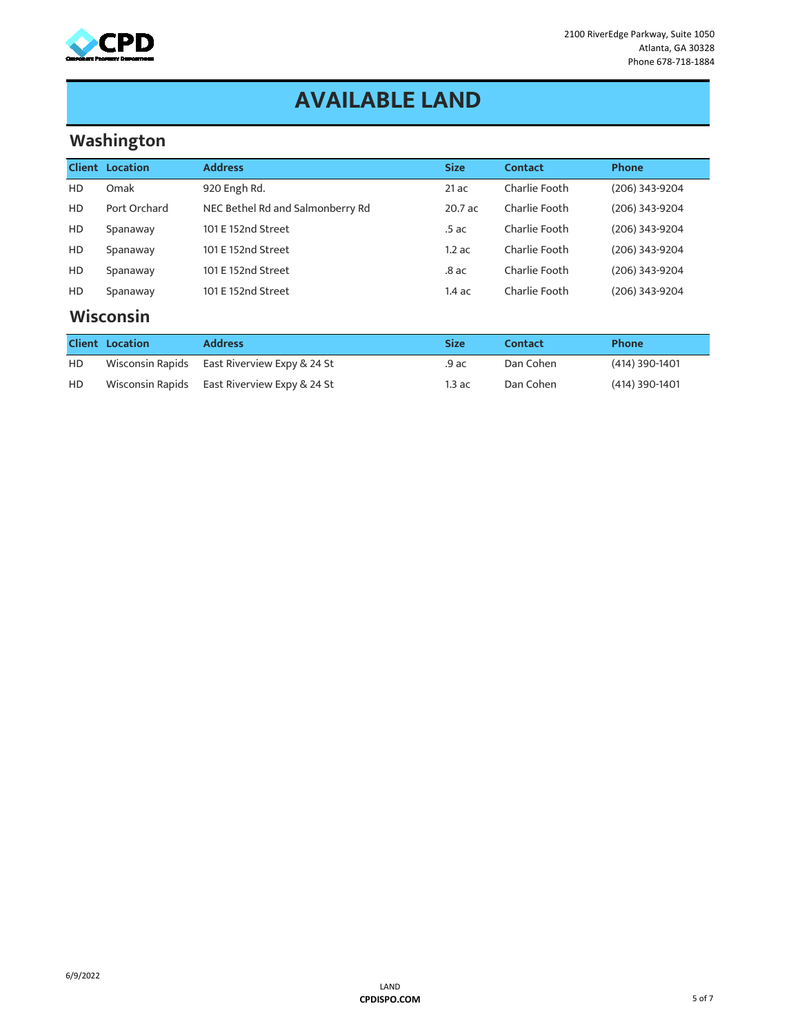

### **AVAILABLE LAND**

### **Washington**

|                | <b>Client Location</b>    | <b>Address</b>                   | <b>Size</b> | Contact       | Phone          |  |  |  |
|----------------|---------------------------|----------------------------------|-------------|---------------|----------------|--|--|--|
| HD             | Omak                      | 920 Engh Rd.                     | 21ac        | Charlie Footh | (206) 343-9204 |  |  |  |
| H <sub>D</sub> | Port Orchard              | NEC Bethel Rd and Salmonberry Rd | $20.7$ ac   | Charlie Footh | (206) 343-9204 |  |  |  |
| HD             | Spanaway                  | 101 E 152nd Street               | .5 ac       | Charlie Footh | (206) 343-9204 |  |  |  |
| HD             | Spanaway                  | 101 E 152nd Street               | 1.2ac       | Charlie Footh | (206) 343-9204 |  |  |  |
| HD             | Spanaway                  | 101 E 152nd Street               | $.8$ ac     | Charlie Footh | (206) 343-9204 |  |  |  |
| HD             | Spanaway                  | 101 E 152nd Street               | 1.4ac       | Charlie Footh | (206) 343-9204 |  |  |  |
|                | $M1. - - - - - - - - - -$ |                                  |             |               |                |  |  |  |

#### **Wisconsin**

|    | <b>Client Location</b> | <b>Address</b>                               | <b>Size</b> | Contact   | <b>Phone</b>     |
|----|------------------------|----------------------------------------------|-------------|-----------|------------------|
| HD |                        | Wisconsin Rapids East Riverview Expy & 24 St | .9 ac       | Dan Cohen | $(414)$ 390-1401 |
| HD |                        | Wisconsin Rapids East Riverview Expy & 24 St | 1.3 ac      | Dan Cohen | $(414)$ 390-1401 |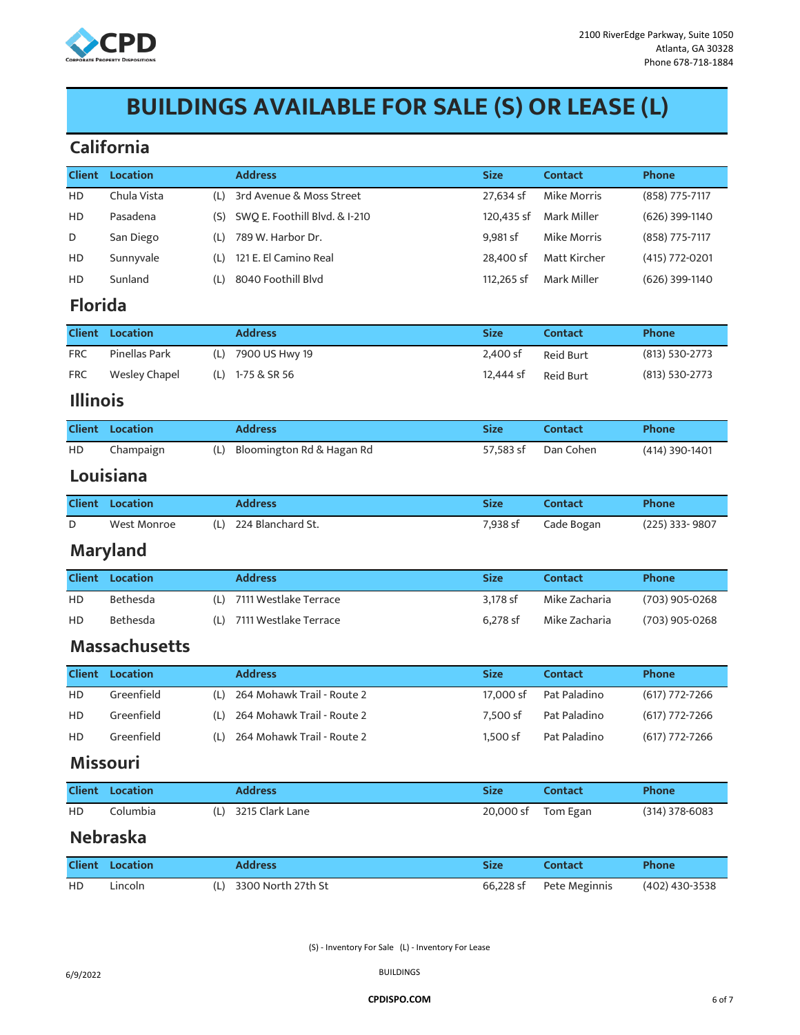

# **BUILDINGS AVAILABLE FOR SALE (S) OR LEASE (L)**

#### **California**

| <b>Client</b>   | <b>Location</b>        |     | <b>Address</b>                | <b>Size</b> | <b>Contact</b>     | Phone              |
|-----------------|------------------------|-----|-------------------------------|-------------|--------------------|--------------------|
| HD              | Chula Vista            | (L) | 3rd Avenue & Moss Street      | 27,634 sf   | Mike Morris        | (858) 775-7117     |
| HD              | Pasadena               | (S) | SWQ E. Foothill Blvd. & I-210 | 120,435 sf  | Mark Miller        | (626) 399-1140     |
| D               | San Diego              | (L) | 789 W. Harbor Dr.             | 9,981 sf    | <b>Mike Morris</b> | (858) 775-7117     |
| HD              | Sunnyvale              | (L) | 121 E. El Camino Real         | 28,400 sf   | Matt Kircher       | (415) 772-0201     |
| HD              | Sunland                | (L) | 8040 Foothill Blvd            | 112,265 sf  | Mark Miller        | (626) 399-1140     |
| <b>Florida</b>  |                        |     |                               |             |                    |                    |
| <b>Client</b>   | <b>Location</b>        |     | <b>Address</b>                | <b>Size</b> | <b>Contact</b>     | <b>Phone</b>       |
| <b>FRC</b>      | Pinellas Park          | (L) | 7900 US Hwy 19                | 2,400 sf    | Reid Burt          | $(813) 530 - 2773$ |
| <b>FRC</b>      | <b>Wesley Chapel</b>   | (L) | 1-75 & SR 56                  | 12,444 sf   | Reid Burt          | (813) 530-2773     |
| <b>Illinois</b> |                        |     |                               |             |                    |                    |
| <b>Client</b>   | Location               |     | <b>Address</b>                | <b>Size</b> | <b>Contact</b>     | Phone              |
| HD              | Champaign              | (L) | Bloomington Rd & Hagan Rd     | 57,583 sf   | Dan Cohen          | (414) 390-1401     |
|                 | Louisiana              |     |                               |             |                    |                    |
| <b>Client</b>   | <b>Location</b>        |     | <b>Address</b>                | <b>Size</b> | <b>Contact</b>     | Phone              |
| D               | <b>West Monroe</b>     | (L) | 224 Blanchard St.             | 7,938 sf    | Cade Bogan         | (225) 333-9807     |
|                 | <b>Maryland</b>        |     |                               |             |                    |                    |
| <b>Client</b>   | Location               |     | <b>Address</b>                | <b>Size</b> | <b>Contact</b>     | Phone              |
| HD              | Bethesda               | (L) | 7111 Westlake Terrace         | 3,178 sf    | Mike Zacharia      | (703) 905-0268     |
| HD              | Bethesda               | (L) | 7111 Westlake Terrace         | 6,278 sf    | Mike Zacharia      | (703) 905-0268     |
|                 | <b>Massachusetts</b>   |     |                               |             |                    |                    |
| <b>Client</b>   | <b>Location</b>        |     | <b>Address</b>                | <b>Size</b> | <b>Contact</b>     | Phone              |
| HD              | Greenfield             | (L) | 264 Mohawk Trail - Route 2    | 17,000 sf   | Pat Paladino       | $(617)$ 772-7266   |
| HD              | Greenfield             | (L) | 264 Mohawk Trail - Route 2    | 7,500 sf    | Pat Paladino       | $(617)$ 772-7266   |
| HD              | Greenfield             | (L) | 264 Mohawk Trail - Route 2    | 1,500 sf    | Pat Paladino       | $(617)$ 772-7266   |
|                 | <b>Missouri</b>        |     |                               |             |                    |                    |
|                 | <b>Client Location</b> |     | <b>Address</b>                | <b>Size</b> | <b>Contact</b>     | Phone              |
| HD              | Columbia               | (L) | 3215 Clark Lane               | 20,000 sf   | Tom Egan           | $(314)$ 378-6083   |
|                 | <b>Nebraska</b>        |     |                               |             |                    |                    |
|                 | Client Location        |     | <b>Address</b>                | Size        | Contact            | <b>Phone</b>       |